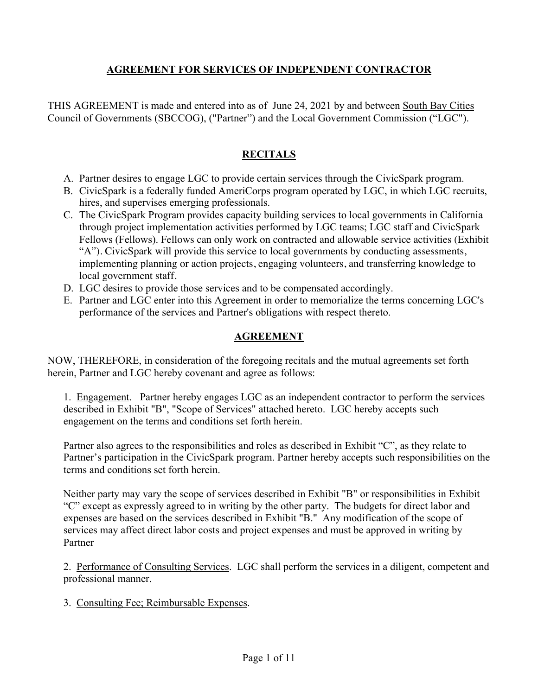### **AGREEMENT FOR SERVICES OF INDEPENDENT CONTRACTOR**

THIS AGREEMENT is made and entered into as of June 24, 2021 by and between South Bay Cities Council of Governments (SBCCOG), ("Partner") and the Local Government Commission ("LGC").

## **RECITALS**

- A. Partner desires to engage LGC to provide certain services through the CivicSpark program.
- B. CivicSpark is a federally funded AmeriCorps program operated by LGC, in which LGC recruits, hires, and supervises emerging professionals.
- C. The CivicSpark Program provides capacity building services to local governments in California through project implementation activities performed by LGC teams; LGC staff and CivicSpark Fellows (Fellows). Fellows can only work on contracted and allowable service activities (Exhibit "A"). CivicSpark will provide this service to local governments by conducting assessments, implementing planning or action projects, engaging volunteers, and transferring knowledge to local government staff.
- D. LGC desires to provide those services and to be compensated accordingly.
- E. Partner and LGC enter into this Agreement in order to memorialize the terms concerning LGC's performance of the services and Partner's obligations with respect thereto.

# **AGREEMENT**

NOW, THEREFORE, in consideration of the foregoing recitals and the mutual agreements set forth herein, Partner and LGC hereby covenant and agree as follows:

1. Engagement. Partner hereby engages LGC as an independent contractor to perform the services described in Exhibit "B", "Scope of Services" attached hereto. LGC hereby accepts such engagement on the terms and conditions set forth herein.

Partner also agrees to the responsibilities and roles as described in Exhibit "C", as they relate to Partner's participation in the CivicSpark program. Partner hereby accepts such responsibilities on the terms and conditions set forth herein.

Neither party may vary the scope of services described in Exhibit "B" or responsibilities in Exhibit "C" except as expressly agreed to in writing by the other party. The budgets for direct labor and expenses are based on the services described in Exhibit "B." Any modification of the scope of services may affect direct labor costs and project expenses and must be approved in writing by Partner

2. Performance of Consulting Services. LGC shall perform the services in a diligent, competent and professional manner.

3. Consulting Fee; Reimbursable Expenses.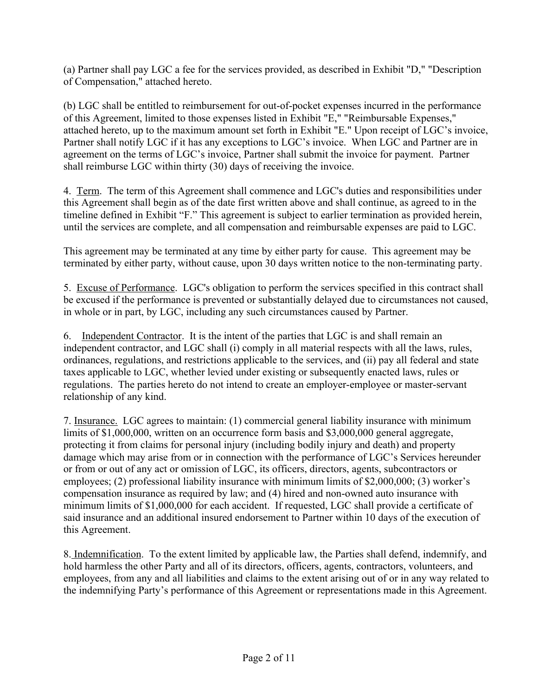(a) Partner shall pay LGC a fee for the services provided, as described in Exhibit "D," "Description of Compensation," attached hereto.

(b) LGC shall be entitled to reimbursement for out-of-pocket expenses incurred in the performance of this Agreement, limited to those expenses listed in Exhibit "E," "Reimbursable Expenses," attached hereto, up to the maximum amount set forth in Exhibit "E." Upon receipt of LGC's invoice, Partner shall notify LGC if it has any exceptions to LGC's invoice. When LGC and Partner are in agreement on the terms of LGC's invoice, Partner shall submit the invoice for payment. Partner shall reimburse LGC within thirty (30) days of receiving the invoice.

4. Term. The term of this Agreement shall commence and LGC's duties and responsibilities under this Agreement shall begin as of the date first written above and shall continue, as agreed to in the timeline defined in Exhibit "F." This agreement is subject to earlier termination as provided herein, until the services are complete, and all compensation and reimbursable expenses are paid to LGC.

This agreement may be terminated at any time by either party for cause. This agreement may be terminated by either party, without cause, upon 30 days written notice to the non-terminating party.

5. Excuse of Performance. LGC's obligation to perform the services specified in this contract shall be excused if the performance is prevented or substantially delayed due to circumstances not caused, in whole or in part, by LGC, including any such circumstances caused by Partner.

6. Independent Contractor. It is the intent of the parties that LGC is and shall remain an independent contractor, and LGC shall (i) comply in all material respects with all the laws, rules, ordinances, regulations, and restrictions applicable to the services, and (ii) pay all federal and state taxes applicable to LGC, whether levied under existing or subsequently enacted laws, rules or regulations. The parties hereto do not intend to create an employer-employee or master-servant relationship of any kind.

7. Insurance. LGC agrees to maintain: (1) commercial general liability insurance with minimum limits of \$1,000,000, written on an occurrence form basis and \$3,000,000 general aggregate, protecting it from claims for personal injury (including bodily injury and death) and property damage which may arise from or in connection with the performance of LGC's Services hereunder or from or out of any act or omission of LGC, its officers, directors, agents, subcontractors or employees; (2) professional liability insurance with minimum limits of \$2,000,000; (3) worker's compensation insurance as required by law; and (4) hired and non-owned auto insurance with minimum limits of \$1,000,000 for each accident. If requested, LGC shall provide a certificate of said insurance and an additional insured endorsement to Partner within 10 days of the execution of this Agreement.

8. Indemnification. To the extent limited by applicable law, the Parties shall defend, indemnify, and hold harmless the other Party and all of its directors, officers, agents, contractors, volunteers, and employees, from any and all liabilities and claims to the extent arising out of or in any way related to the indemnifying Party's performance of this Agreement or representations made in this Agreement.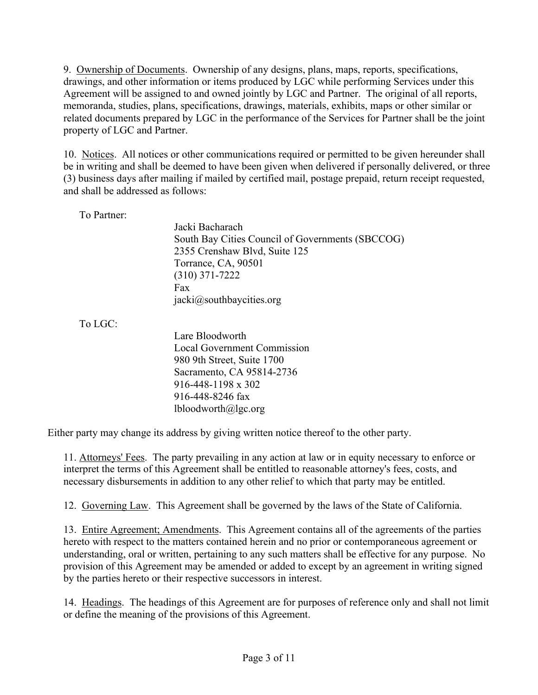9. Ownership of Documents. Ownership of any designs, plans, maps, reports, specifications, drawings, and other information or items produced by LGC while performing Services under this Agreement will be assigned to and owned jointly by LGC and Partner. The original of all reports, memoranda, studies, plans, specifications, drawings, materials, exhibits, maps or other similar or related documents prepared by LGC in the performance of the Services for Partner shall be the joint property of LGC and Partner.

10. Notices. All notices or other communications required or permitted to be given hereunder shall be in writing and shall be deemed to have been given when delivered if personally delivered, or three (3) business days after mailing if mailed by certified mail, postage prepaid, return receipt requested, and shall be addressed as follows:

To Partner:

Jacki Bacharach South Bay Cities Council of Governments (SBCCOG) 2355 Crenshaw Blvd, Suite 125 Torrance, CA, 90501 (310) 371-7222 Fax jacki@southbaycities.org

To LGC:

Lare Bloodworth Local Government Commission 980 9th Street, Suite 1700 Sacramento, CA 95814-2736 916-448-1198 x 302 916-448-8246 fax lbloodworth@lgc.org

Either party may change its address by giving written notice thereof to the other party.

11. Attorneys' Fees. The party prevailing in any action at law or in equity necessary to enforce or interpret the terms of this Agreement shall be entitled to reasonable attorney's fees, costs, and necessary disbursements in addition to any other relief to which that party may be entitled.

12. Governing Law. This Agreement shall be governed by the laws of the State of California.

13. Entire Agreement; Amendments. This Agreement contains all of the agreements of the parties hereto with respect to the matters contained herein and no prior or contemporaneous agreement or understanding, oral or written, pertaining to any such matters shall be effective for any purpose. No provision of this Agreement may be amended or added to except by an agreement in writing signed by the parties hereto or their respective successors in interest.

14. Headings. The headings of this Agreement are for purposes of reference only and shall not limit or define the meaning of the provisions of this Agreement.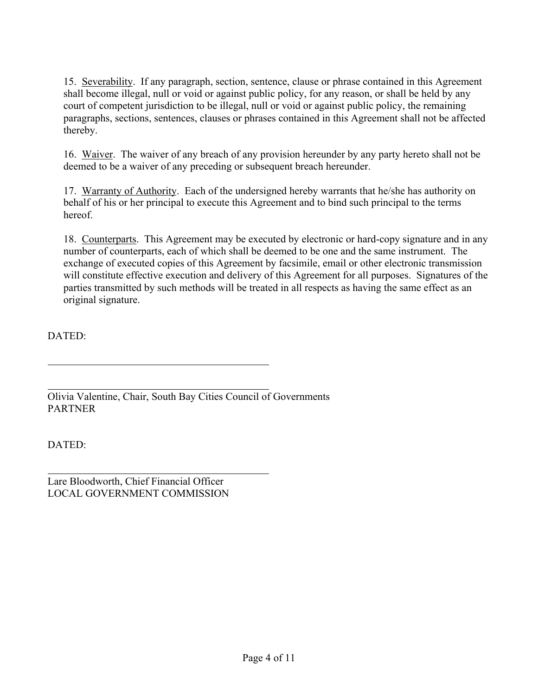15. Severability. If any paragraph, section, sentence, clause or phrase contained in this Agreement shall become illegal, null or void or against public policy, for any reason, or shall be held by any court of competent jurisdiction to be illegal, null or void or against public policy, the remaining paragraphs, sections, sentences, clauses or phrases contained in this Agreement shall not be affected thereby.

16. Waiver. The waiver of any breach of any provision hereunder by any party hereto shall not be deemed to be a waiver of any preceding or subsequent breach hereunder.

17. Warranty of Authority. Each of the undersigned hereby warrants that he/she has authority on behalf of his or her principal to execute this Agreement and to bind such principal to the terms hereof.

18. Counterparts. This Agreement may be executed by electronic or hard-copy signature and in any number of counterparts, each of which shall be deemed to be one and the same instrument. The exchange of executed copies of this Agreement by facsimile, email or other electronic transmission will constitute effective execution and delivery of this Agreement for all purposes. Signatures of the parties transmitted by such methods will be treated in all respects as having the same effect as an original signature.

DATED:

Olivia Valentine, Chair, South Bay Cities Council of Governments PARTNER

DATED:

Lare Bloodworth, Chief Financial Officer LOCAL GOVERNMENT COMMISSION i<br>L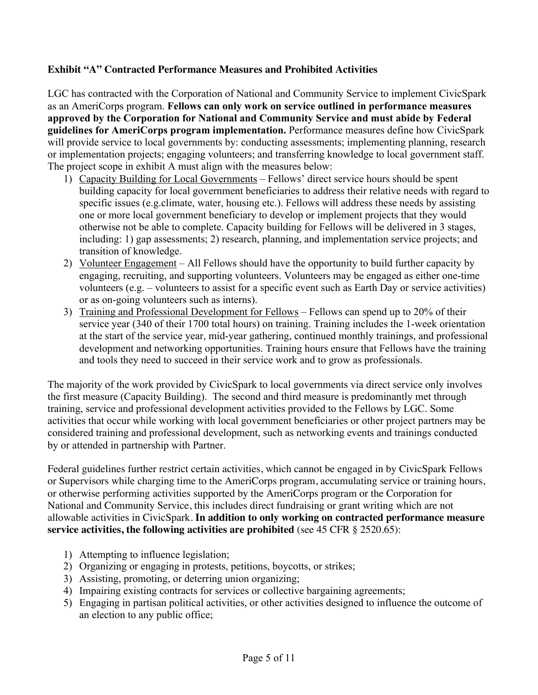### **Exhibit "A" Contracted Performance Measures and Prohibited Activities**

LGC has contracted with the Corporation of National and Community Service to implement CivicSpark as an AmeriCorps program. **Fellows can only work on service outlined in performance measures approved by the Corporation for National and Community Service and must abide by Federal guidelines for AmeriCorps program implementation.** Performance measures define how CivicSpark will provide service to local governments by: conducting assessments; implementing planning, research or implementation projects; engaging volunteers; and transferring knowledge to local government staff. The project scope in exhibit A must align with the measures below:

- 1) Capacity Building for Local Governments Fellows' direct service hours should be spent building capacity for local government beneficiaries to address their relative needs with regard to specific issues (e.g.climate, water, housing etc.). Fellows will address these needs by assisting one or more local government beneficiary to develop or implement projects that they would otherwise not be able to complete. Capacity building for Fellows will be delivered in 3 stages, including: 1) gap assessments; 2) research, planning, and implementation service projects; and transition of knowledge.
- 2) Volunteer Engagement All Fellows should have the opportunity to build further capacity by engaging, recruiting, and supporting volunteers. Volunteers may be engaged as either one-time volunteers (e.g. – volunteers to assist for a specific event such as Earth Day or service activities) or as on-going volunteers such as interns).
- 3) Training and Professional Development for Fellows Fellows can spend up to 20% of their service year (340 of their 1700 total hours) on training. Training includes the 1-week orientation at the start of the service year, mid-year gathering, continued monthly trainings, and professional development and networking opportunities. Training hours ensure that Fellows have the training and tools they need to succeed in their service work and to grow as professionals.

The majority of the work provided by CivicSpark to local governments via direct service only involves the first measure (Capacity Building). The second and third measure is predominantly met through training, service and professional development activities provided to the Fellows by LGC. Some activities that occur while working with local government beneficiaries or other project partners may be considered training and professional development, such as networking events and trainings conducted by or attended in partnership with Partner.

Federal guidelines further restrict certain activities, which cannot be engaged in by CivicSpark Fellows or Supervisors while charging time to the AmeriCorps program, accumulating service or training hours, or otherwise performing activities supported by the AmeriCorps program or the Corporation for National and Community Service, this includes direct fundraising or grant writing which are not allowable activities in CivicSpark. **In addition to only working on contracted performance measure service activities, the following activities are prohibited** (see 45 CFR § 2520.65):

- 1) Attempting to influence legislation;
- 2) Organizing or engaging in protests, petitions, boycotts, or strikes;
- 3) Assisting, promoting, or deterring union organizing;
- 4) Impairing existing contracts for services or collective bargaining agreements;
- 5) Engaging in partisan political activities, or other activities designed to influence the outcome of an election to any public office;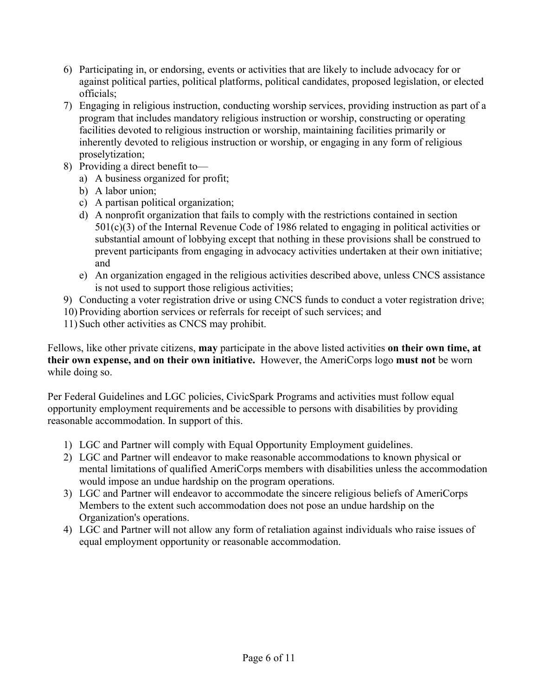- 6) Participating in, or endorsing, events or activities that are likely to include advocacy for or against political parties, political platforms, political candidates, proposed legislation, or elected officials;
- 7) Engaging in religious instruction, conducting worship services, providing instruction as part of a program that includes mandatory religious instruction or worship, constructing or operating facilities devoted to religious instruction or worship, maintaining facilities primarily or inherently devoted to religious instruction or worship, or engaging in any form of religious proselytization;
- 8) Providing a direct benefit to
	- a) A business organized for profit;
	- b) A labor union;
	- c) A partisan political organization;
	- d) A nonprofit organization that fails to comply with the restrictions contained in section 501(c)(3) of the Internal Revenue Code of 1986 related to engaging in political activities or substantial amount of lobbying except that nothing in these provisions shall be construed to prevent participants from engaging in advocacy activities undertaken at their own initiative; and
	- e) An organization engaged in the religious activities described above, unless CNCS assistance is not used to support those religious activities;
- 9) Conducting a voter registration drive or using CNCS funds to conduct a voter registration drive;
- 10) Providing abortion services or referrals for receipt of such services; and
- 11) Such other activities as CNCS may prohibit.

Fellows, like other private citizens, **may** participate in the above listed activities **on their own time, at their own expense, and on their own initiative.** However, the AmeriCorps logo **must not** be worn while doing so.

Per Federal Guidelines and LGC policies, CivicSpark Programs and activities must follow equal opportunity employment requirements and be accessible to persons with disabilities by providing reasonable accommodation. In support of this.

- 1) LGC and Partner will comply with Equal Opportunity Employment guidelines.
- 2) LGC and Partner will endeavor to make reasonable accommodations to known physical or mental limitations of qualified AmeriCorps members with disabilities unless the accommodation would impose an undue hardship on the program operations.
- 3) LGC and Partner will endeavor to accommodate the sincere religious beliefs of AmeriCorps Members to the extent such accommodation does not pose an undue hardship on the Organization's operations.
- 4) LGC and Partner will not allow any form of retaliation against individuals who raise issues of equal employment opportunity or reasonable accommodation.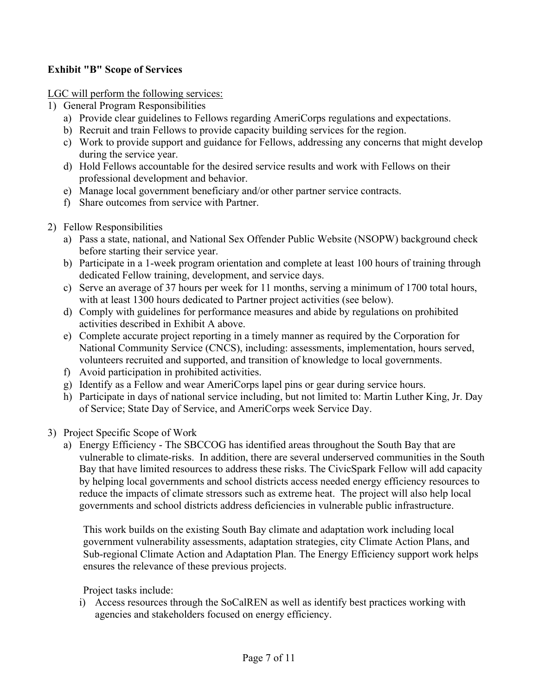### **Exhibit "B" Scope of Services**

LGC will perform the following services:

- 1) General Program Responsibilities
	- a) Provide clear guidelines to Fellows regarding AmeriCorps regulations and expectations.
	- b) Recruit and train Fellows to provide capacity building services for the region.
	- c) Work to provide support and guidance for Fellows, addressing any concerns that might develop during the service year.
	- d) Hold Fellows accountable for the desired service results and work with Fellows on their professional development and behavior.
	- e) Manage local government beneficiary and/or other partner service contracts.
	- f) Share outcomes from service with Partner.
- 2) Fellow Responsibilities
	- a) Pass a state, national, and National Sex Offender Public Website (NSOPW) background check before starting their service year.
	- b) Participate in a 1-week program orientation and complete at least 100 hours of training through dedicated Fellow training, development, and service days.
	- c) Serve an average of 37 hours per week for 11 months, serving a minimum of 1700 total hours, with at least 1300 hours dedicated to Partner project activities (see below).
	- d) Comply with guidelines for performance measures and abide by regulations on prohibited activities described in Exhibit A above.
	- e) Complete accurate project reporting in a timely manner as required by the Corporation for National Community Service (CNCS), including: assessments, implementation, hours served, volunteers recruited and supported, and transition of knowledge to local governments.
	- f) Avoid participation in prohibited activities.
	- g) Identify as a Fellow and wear AmeriCorps lapel pins or gear during service hours.
	- h) Participate in days of national service including, but not limited to: Martin Luther King, Jr. Day of Service; State Day of Service, and AmeriCorps week Service Day.
- 3) Project Specific Scope of Work
	- a) Energy Efficiency The SBCCOG has identified areas throughout the South Bay that are vulnerable to climate-risks. In addition, there are several underserved communities in the South Bay that have limited resources to address these risks. The CivicSpark Fellow will add capacity by helping local governments and school districts access needed energy efficiency resources to reduce the impacts of climate stressors such as extreme heat. The project will also help local governments and school districts address deficiencies in vulnerable public infrastructure.

This work builds on the existing South Bay climate and adaptation work including local government vulnerability assessments, adaptation strategies, city Climate Action Plans, and Sub-regional Climate Action and Adaptation Plan. The Energy Efficiency support work helps ensures the relevance of these previous projects.

Project tasks include:

i) Access resources through the SoCalREN as well as identify best practices working with agencies and stakeholders focused on energy efficiency.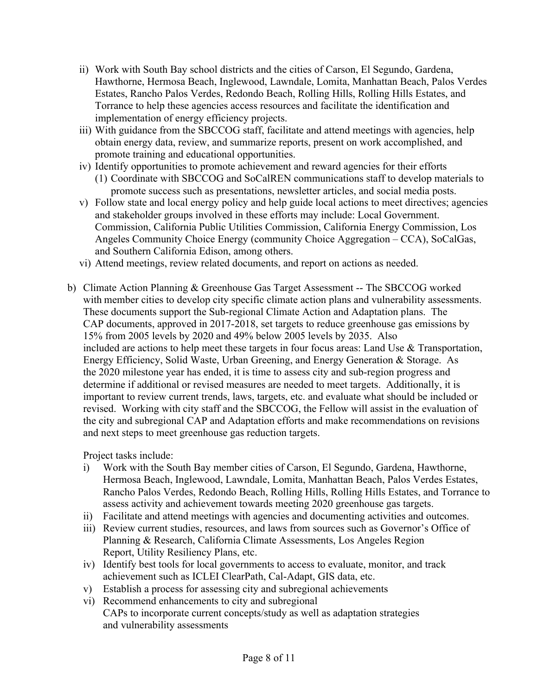- ii) Work with South Bay school districts and the cities of Carson, El Segundo, Gardena, Hawthorne, Hermosa Beach, Inglewood, Lawndale, Lomita, Manhattan Beach, Palos Verdes Estates, Rancho Palos Verdes, Redondo Beach, Rolling Hills, Rolling Hills Estates, and Torrance to help these agencies access resources and facilitate the identification and implementation of energy efficiency projects.
- iii) With guidance from the SBCCOG staff, facilitate and attend meetings with agencies, help obtain energy data, review, and summarize reports, present on work accomplished, and promote training and educational opportunities.
- iv) Identify opportunities to promote achievement and reward agencies for their efforts (1) Coordinate with SBCCOG and SoCalREN communications staff to develop materials to promote success such as presentations, newsletter articles, and social media posts.
- v) Follow state and local energy policy and help guide local actions to meet directives; agencies and stakeholder groups involved in these efforts may include: Local Government. Commission, California Public Utilities Commission, California Energy Commission, Los Angeles Community Choice Energy (community Choice Aggregation – CCA), SoCalGas, and Southern California Edison, among others.
- vi) Attend meetings, review related documents, and report on actions as needed.
- b) Climate Action Planning & Greenhouse Gas Target Assessment -- The SBCCOG worked with member cities to develop city specific climate action plans and vulnerability assessments. These documents support the Sub-regional Climate Action and Adaptation plans. The CAP documents, approved in 2017-2018, set targets to reduce greenhouse gas emissions by 15% from 2005 levels by 2020 and 49% below 2005 levels by 2035. Also included are actions to help meet these targets in four focus areas: Land Use & Transportation, Energy Efficiency, Solid Waste, Urban Greening, and Energy Generation & Storage. As the 2020 milestone year has ended, it is time to assess city and sub-region progress and determine if additional or revised measures are needed to meet targets. Additionally, it is important to review current trends, laws, targets, etc. and evaluate what should be included or revised. Working with city staff and the SBCCOG, the Fellow will assist in the evaluation of the city and subregional CAP and Adaptation efforts and make recommendations on revisions and next steps to meet greenhouse gas reduction targets.

Project tasks include:

- i) Work with the South Bay member cities of Carson, El Segundo, Gardena, Hawthorne, Hermosa Beach, Inglewood, Lawndale, Lomita, Manhattan Beach, Palos Verdes Estates, Rancho Palos Verdes, Redondo Beach, Rolling Hills, Rolling Hills Estates, and Torrance to assess activity and achievement towards meeting 2020 greenhouse gas targets.
- ii) Facilitate and attend meetings with agencies and documenting activities and outcomes.
- iii) Review current studies, resources, and laws from sources such as Governor's Office of Planning & Research, California Climate Assessments, Los Angeles Region Report, Utility Resiliency Plans, etc.
- iv) Identify best tools for local governments to access to evaluate, monitor, and track achievement such as ICLEI ClearPath, Cal-Adapt, GIS data, etc.
- v) Establish a process for assessing city and subregional achievements
- vi) Recommend enhancements to city and subregional CAPs to incorporate current concepts/study as well as adaptation strategies and vulnerability assessments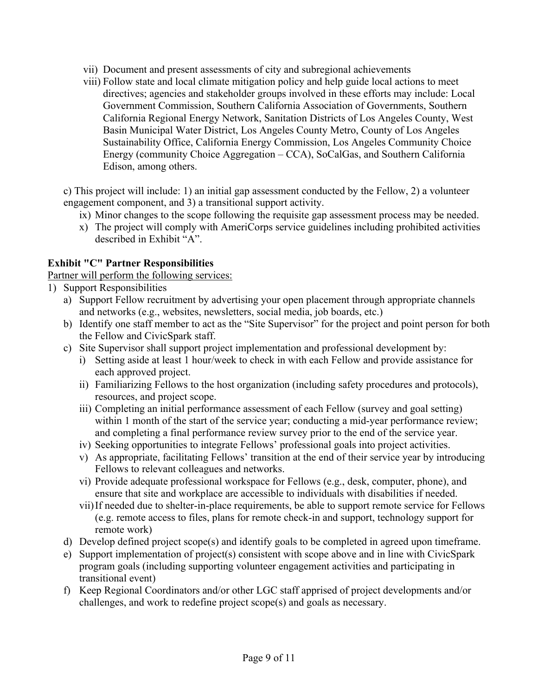- vii) Document and present assessments of city and subregional achievements
- viii) Follow state and local climate mitigation policy and help guide local actions to meet directives; agencies and stakeholder groups involved in these efforts may include: Local Government Commission, Southern California Association of Governments, Southern California Regional Energy Network, Sanitation Districts of Los Angeles County, West Basin Municipal Water District, Los Angeles County Metro, County of Los Angeles Sustainability Office, California Energy Commission, Los Angeles Community Choice Energy (community Choice Aggregation – CCA), SoCalGas, and Southern California Edison, among others.

c) This project will include: 1) an initial gap assessment conducted by the Fellow, 2) a volunteer engagement component, and 3) a transitional support activity.

- ix) Minor changes to the scope following the requisite gap assessment process may be needed.
- x) The project will comply with AmeriCorps service guidelines including prohibited activities described in Exhibit "A".

#### **Exhibit "C" Partner Responsibilities**

Partner will perform the following services:

- 1) Support Responsibilities
	- a) Support Fellow recruitment by advertising your open placement through appropriate channels and networks (e.g., websites, newsletters, social media, job boards, etc.)
	- b) Identify one staff member to act as the "Site Supervisor" for the project and point person for both the Fellow and CivicSpark staff.
	- c) Site Supervisor shall support project implementation and professional development by:
		- i) Setting aside at least 1 hour/week to check in with each Fellow and provide assistance for each approved project.
		- ii) Familiarizing Fellows to the host organization (including safety procedures and protocols), resources, and project scope.
		- iii) Completing an initial performance assessment of each Fellow (survey and goal setting) within 1 month of the start of the service year; conducting a mid-year performance review; and completing a final performance review survey prior to the end of the service year.
		- iv) Seeking opportunities to integrate Fellows' professional goals into project activities.
		- v) As appropriate, facilitating Fellows' transition at the end of their service year by introducing Fellows to relevant colleagues and networks.
		- vi) Provide adequate professional workspace for Fellows (e.g., desk, computer, phone), and ensure that site and workplace are accessible to individuals with disabilities if needed.
		- vii)If needed due to shelter-in-place requirements, be able to support remote service for Fellows (e.g. remote access to files, plans for remote check-in and support, technology support for remote work)
	- d) Develop defined project scope(s) and identify goals to be completed in agreed upon timeframe.
	- e) Support implementation of project(s) consistent with scope above and in line with CivicSpark program goals (including supporting volunteer engagement activities and participating in transitional event)
	- f) Keep Regional Coordinators and/or other LGC staff apprised of project developments and/or challenges, and work to redefine project scope(s) and goals as necessary.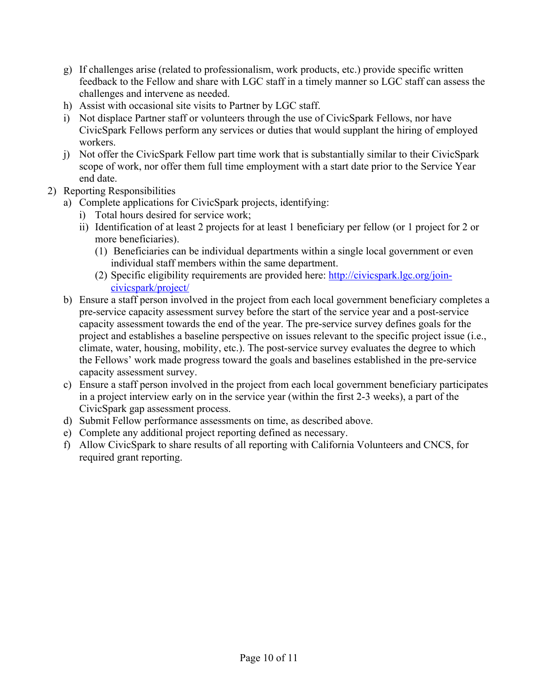- g) If challenges arise (related to professionalism, work products, etc.) provide specific written feedback to the Fellow and share with LGC staff in a timely manner so LGC staff can assess the challenges and intervene as needed.
- h) Assist with occasional site visits to Partner by LGC staff.
- i) Not displace Partner staff or volunteers through the use of CivicSpark Fellows, nor have CivicSpark Fellows perform any services or duties that would supplant the hiring of employed workers.
- j) Not offer the CivicSpark Fellow part time work that is substantially similar to their CivicSpark scope of work, nor offer them full time employment with a start date prior to the Service Year end date.
- 2) Reporting Responsibilities
	- a) Complete applications for CivicSpark projects, identifying:
		- i) Total hours desired for service work;
		- ii) Identification of at least 2 projects for at least 1 beneficiary per fellow (or 1 project for 2 or more beneficiaries).
			- (1) Beneficiaries can be individual departments within a single local government or even individual staff members within the same department.
			- (2) Specific eligibility requirements are provided here: http://civicspark.lgc.org/joincivicspark/project/
	- b) Ensure a staff person involved in the project from each local government beneficiary completes a pre-service capacity assessment survey before the start of the service year and a post-service capacity assessment towards the end of the year. The pre-service survey defines goals for the project and establishes a baseline perspective on issues relevant to the specific project issue (i.e., climate, water, housing, mobility, etc.). The post-service survey evaluates the degree to which the Fellows' work made progress toward the goals and baselines established in the pre-service capacity assessment survey.
	- c) Ensure a staff person involved in the project from each local government beneficiary participates in a project interview early on in the service year (within the first 2-3 weeks), a part of the CivicSpark gap assessment process.
	- d) Submit Fellow performance assessments on time, as described above.
	- e) Complete any additional project reporting defined as necessary.
	- f) Allow CivicSpark to share results of all reporting with California Volunteers and CNCS, for required grant reporting.